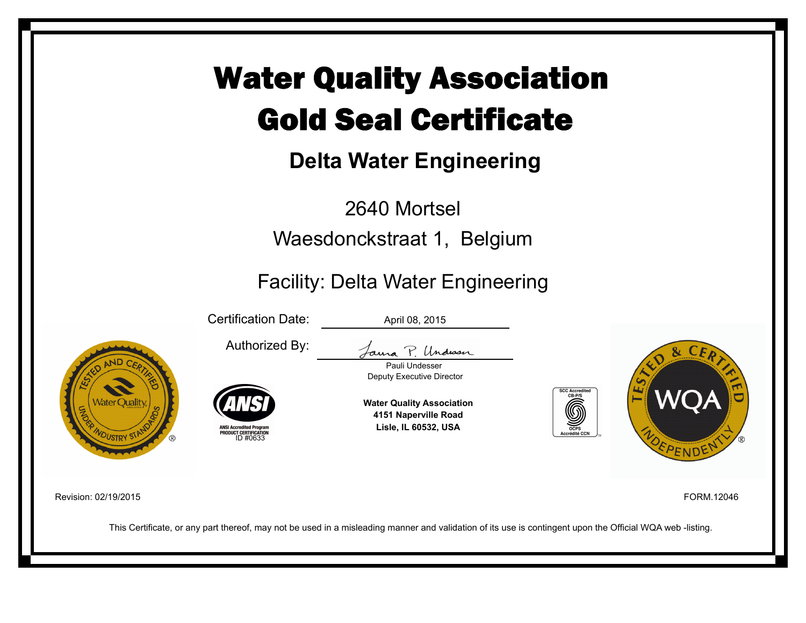# Water Quality Association Gold Seal Certificate

# **Delta Water Engineering**

2640 Mortsel Waesdonckstraat 1, Belgium

### Facility: Delta Water Engineering